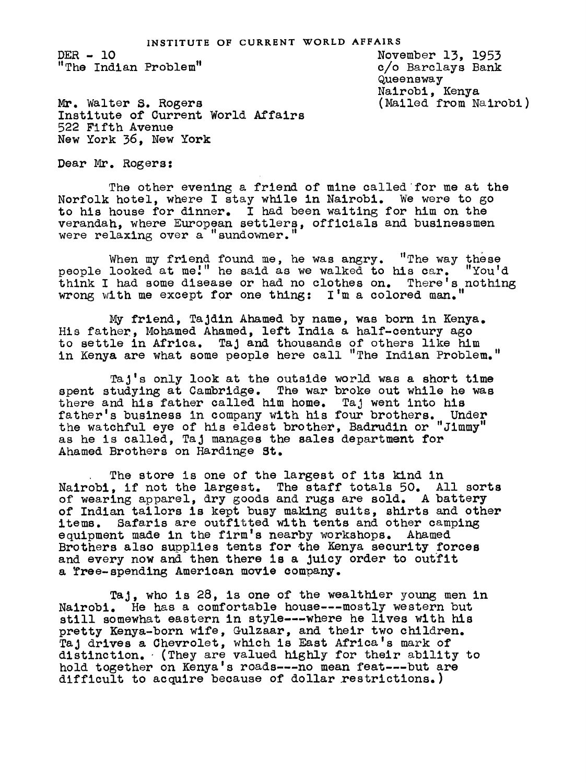DER- lO "The Indian Problem

November 13, 1953 c/o Barclays Bank Queensway Nairobi, Kenya (Mailed from Nairobi )

Mr. Walter S. Rogers Institute of Current World Affairs<br>522 Fifth Avenue<br>New York 36 New York New York 36, New York

Dear Mr. Rogers:

The other evening a friend of mine called for me at the Norfolk hotel, where I stay while in Nairobi. We were to go to his house for dinner. I had been waiting for him on the verandah, where European settlers, officials and businessmen were relaxing over a "sundowner."

When my friend found me, he was angry. "The way these people looked at me." he said as we walked to his car. "You'd think I had some disease or had no clothes on. There's nothing wrong with me except for one thing:  $I'$ m a colored man."

My friend, TaJdin Ahamed by name, was born in Kenya. His father, Mohamed Ahamed, left India a half-century ago to settle in Africa. TaJ and thousands of others like him in Kenya are what some people here call "The Indian Problem."

TaJ's only look at the outside world was a short time spent studying at Cambridge. The war broke out while he was there and his father called him home. Taj went into his father's business in company with his four brothers. Under the watchful eye of his eldest brother, Badrudin or "Jimmy" as he is called, TaJ manages the sales department for Ahamed Brothers on Hardinge St.

The store is one of the largest of its kind in Nalrobi, if not the largest. The staff totals 50. All sorts of wearing apparel, dry goods and rugs are sold. A battery of Indian tailors is kept busy making suits, shirts and other items. Safaris are outfitted with tents and other camping equipment made in the firm's nearby workshops. Ahamed Brothers also supplies tents for the Kenya security forces and every now and then there is a Juicy order to outfit a Tree-spending American movie company.

Taj, who is 28, is one of the wealthier young men in Nairobl. He has a comfortable house---mostly western but still somewhat eastern in style---where he lives with his pretty Kenya-born wife, Gulzaar, and their two children. TaJ drives a Chevrolet, which is East Africa's mark of distinction. (They are valued highly for their ability to hold together on Kenya's roads---no mean feat---but are difficult to acquire because of dollar restrictions.)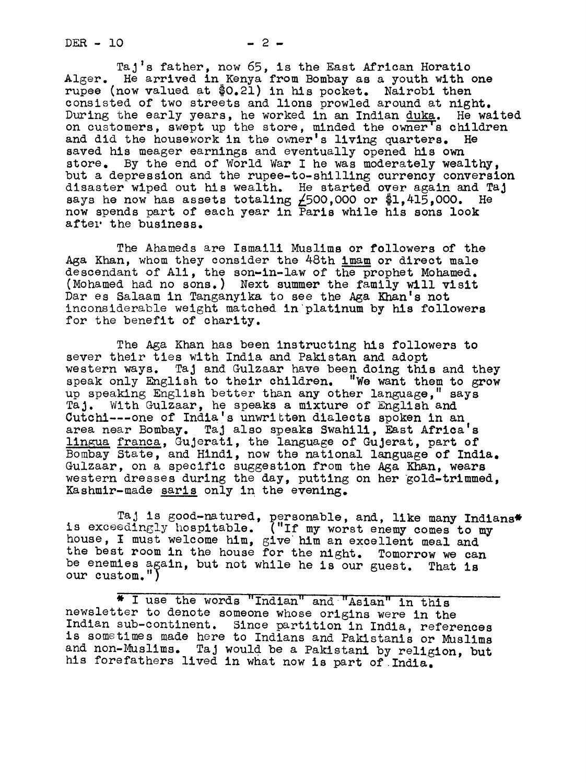$DER - 10 - 2 -$ 

TaJ's father, now 65, is the East African Horatio Alger. He arrived in Kenya from Bombay as a youth with one rupee (now valued at \$O.21) in his pocket. Nairobi then consisted of two streets and lions prowled around at night. During the early years, he worked in an Indian duka. He waited on customers, swept up the store, minded the owner's children and did the housework in the owner's living quarters. He saved his meager earnings and eventually opened his own store. By the end of World War I he was moderately wealthy, but a depression and the rupee-to-shilling currency conversion disaster wiped out his wealth. He started over again and TaJ says he now has assets totaling  $\angle$ 500,000 or \$1,415,000. He now spends part of each year in Paris while his sons look after the business.

The Ahameds are Ismaill Muslims or followers of the Aga Khan, whom they consider the 48th imam or direct male descendant of All, the son-in-law of the prophet Mohamed. (Mohamed had no sons.) Next summer the family will vislt Dar es Salaam in Tanganyika to see the Aga Khan's not inconsiderable weight matched in platinum by his followers for the benefit of charity.

The Aga Khan has been instructing his followers to sever their ties with India and Pakistan and adopt western ways. TaJ and Gulzaar have been doing this and they speak only English to their children. "We want them to grow up speaking English better than any other language," says TaJ. With Gulzaar, he speaks a mixture of English and Cutchl---one of India's unwritten dialects spoken in an area near Bombay. Taj also speaks Swahili, East Africa's lingua franca, Gujerati, the language of Gujerat, part of Bombay State, and Hindi, uow the national language of India. Gulzaar, on a specific suggestion from the Aga Khan, wears western dresses during the day, putting on her gold-trimmed, Kashmir-made saris only in the evening.

TaJ Is good-natured, personable, and, like many Indians\* is exceedingly hospitable. ("If my worst enemy comes to my house, I must welcome him, give him an excellent meal and the best room in the house for the night. Tomorrow we can be enemies again, but not while he is our guest. That is our custom.")

\* I use the words "Indian" and "Asian" in this newsletter to denote someone whose origins were In the Indian sub-continent. Since partition in India, references is sometimes made here to Indians and Pakistanis or Muslims and non-Muslims. Taj would be a Pakistani by religion, but<br>his forefathers lived in what now is part of India.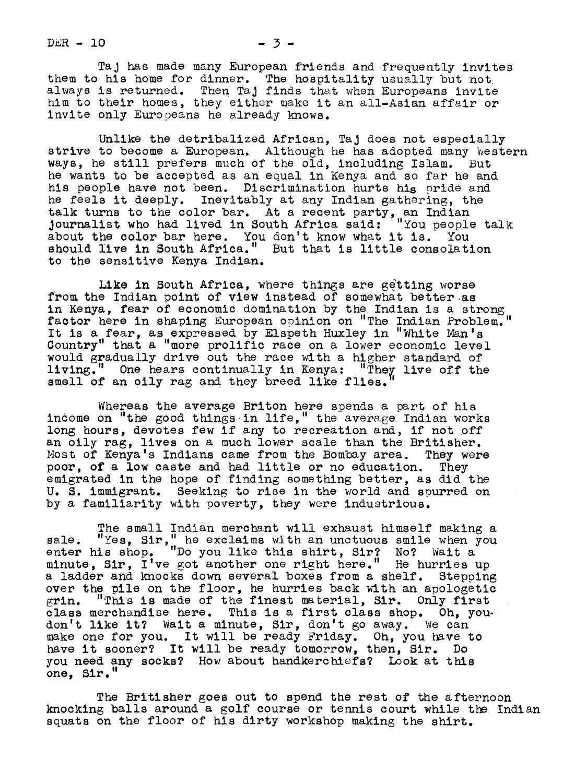$DER - 10$   $-3$   $-3$ 

TaJ has made many European friends and frequently invites them to his home for dinner. The hospitality usually but not always is returned. Then TaJ finds that when Europeans invite him to their homes, they either make it an all-Asian affair or Invite only Europeans he already knows.

Unlike the detribalized African, Taj does not especially strive to become a European. Although he has adopted many Western ways, he still prefers much of the old, including Islam. But he wants to be accepted as an equal in Kenya and so far he and his people have not been. Discrimination hurts his pride and he feels it deeply. Inevitably at any Indian gathering, the talk turns to the color bar. At a recent party, an Indian Journalist who had lived in South Africa said: "You people talk about'the color bar here. You don't know what it is. You should live in South Africa." But that is little consolation to the sensitive Kenya Indian.

Like in South Africa, where things are getting worse from the Indian point of view instead of somewhat better as in Kenya, fear of economic domination by the Indian is a strong factor here in shaping European opinion on "The Indian Problem. It is a fear, as expressed by Elspeth Huxley in "White Man's Country" that a "more prolific race on a lower economic level would gradually drive out the race with a higher standard of living." One hears continually in Kenya: "They live off the living the continually in Kenya: "They live off the smell of an oily rag and they breed like flies.

Whereas the average Briton here spends a part of his income on "the good things in life," the average Indian works long hours, devotes few if any to recreation and, if not off an oily rag, lives on a much lower scale than the Britisher.<br>Most of Kenya's Indians came from the Bombay area. They were Most of Kenya's Indians came from the Bombay area. poor, of a low caste and had little or no education. They emigrated in the hope of finding something better, as did the U. S. immigrant. Seeking to rise in the world and spurred on by a familiarity with poverty, they were industrious.

The small Indian merchant will exhaust himself making a "Yes, Sir," he exclaims with an unctuous smile when you sale. "Yes,  $\texttt{Sir},$ " he exclaims with an unctuous smile when you enter his shop. "Do you like this shirt, Sir? No? Wait a minute, Sir, I've got another one right here." He hurries up a ladder and knocks down several boxes from a shelf. Stepping over the pile on the floor, he hurries back with an apologetic grin. "This is made of the finest material, Sir. Only first "This is made of the finest material, Sir. Only first class merchandise here. This is a first class shop. Oh, you don't like it? Wait a minute, Sir, don't go away. We can don't like it? wait a minute, Sir, don't go away. We can<br>make one for you. It will be ready Friday. Oh, you have to have it sooner? It will be ready tomorrow, then, Sir. Do you need any socks? How about handkerchiefs? Look at this one, Sir."

The Britisher goes out to spend the rest of the afternoon knocking balls around a golf course or tennis court while the Indian squats on the floor of his dirty workshop making the shirt.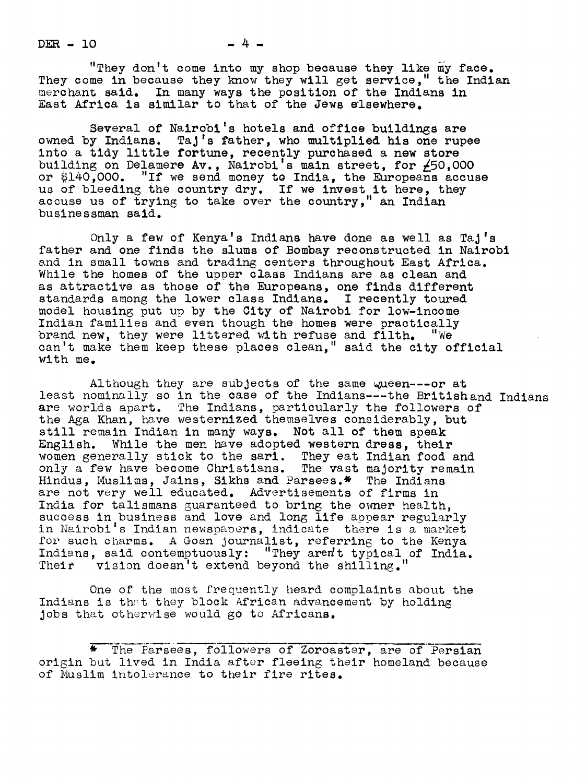$DER - 10$   $-4$   $-$ 

"They don't come into my shop because they like my face. They come in because they know they will get service," the Indian merchant said. In many ways the position of the Indians in East Africa is similar to that of the Jews elsewhere.

Several of Nairobi's hotels and office buildings are owned by Indians.  $Taj's$  father, who multiplied his one rupee into a tidy little fortune, recently purchased a new store building on Delamere Av., Nairobi's main street, for  $\neq 50,000$ or  $$140,000$ . "If we send money to India, the Europeans accuse us of bleeding the country dry. If we invest it here, they accuse us of trying to take over the country," an Indian businessman said.

Only a few of Kenya's Indians have done as well as TaJ's father and one finds the slums of Bombay reconstructed in Nairobl and in small towns and trading centers throughout East Africa. While the homes of the upper class Indians are as clean and as attractive as those of the Europeans, one finds different standards among the lower class Indians. I recently toured model housing put up by the City of Nairobi for low-income Indian families and even though the homes were practically brand new, they were littered with refuse and filth. "We can't make them keep these places clean, " said the city official with me.

Although they are subjects of the same wueen---or at least nominally so in the case of the Indians---the Britishand Indians are worlds apart. The Indians, particularly the followers of the Aga Khan, have westernized themselves considerably, but still remain Indian in many ways. Not all of them speak English. While the men have adopted western dress, their women generally stick to the sari. They eat Indian food and only a few have become Christians. The vast majority remain Hindus, Muslims, Jains, Sikhs and Parsees.\* The Indians are not very well educated. Advertisements of firms in India for talismans guaranteed to bring the owner health. success in business and love and long life appear regularly in Nairobi's Indian newspaoers, indicate there is a market for such charms. A Goan journalist, referring to the Kenya Indians, said contemptuously: "They aren't typical of India. Their vision doesn't extend beyond the shilling.

One of the most frequently heard complaints about the Indians is that they block African advancement by holding jobs that otherwise would go to Africans.

The Parsees, followers of Zoroaster, are of Persian origin but lived in India after fleeing their homeland because of Muslim intolerance to their fire rites.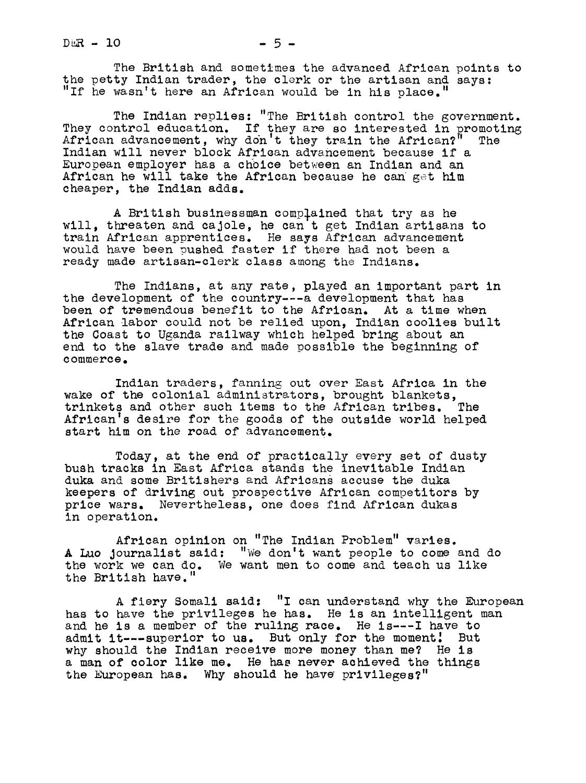$D \triangle R - 10$  - 5 -

The British and sometimes the advanced African points to the petty Indian trader, the clerk or the artisan and says: "If he wasn't here an African would be in his place.

The Indian replies: "The British control the government.<br>They control education. If they are so interested in promoting African advancement, why don't they train the African?" The Indian will never block Afriean advancement because if a European employer has a choice between an Indian and an African he will take the African because he can get him cheaper, the Indian adds.

A British businessman complained that try as he will, threaten and cajole, he can t get Indian artisans to train African apprentices. He says African advancement would have been oushed faster if there had not been a ready made artisan-clerk class among the Indians.

The Indians, at any rate, played an important part in the development of the country---a development that has been of tremendous benefit to the African. At a time when African labor could not be relied upon, Indian coolies built the Coast to Uganda railway which helped bring about an end to the slave trade and made possible the beginning of commerce.

Indian traders, fanning out over East Africa in the wake of the colonial administrators, brought blankets, trinkets and other such items to the African tribes. The African's desire for the goods of the outside world helped start him on the road of advancement.

Today, at the end of practically every set of dusty bush tracks in East Africa stands the inevitable Indian duka and some Britishers and Africans accuse the duka keepers of driving out prospective African competitors by price wars. Nevertheless, one does find African dukas in operation.

African opinion on "The Indian Problem" varies. A Luo Journalist said: "We don't want people to come and do the work we can do. We want men to come and teach us like the British have."

A fiery Somali said: "I can understand why the European has to have the privileges he has. He is an intelligent man and he is a member of the ruling race. He is---I have to admit it---superior to us. But only for the moment! But why should the Indian receive more money than me? He is a man of color like me. He has never achieved the things the European has. Why should he have privileges?"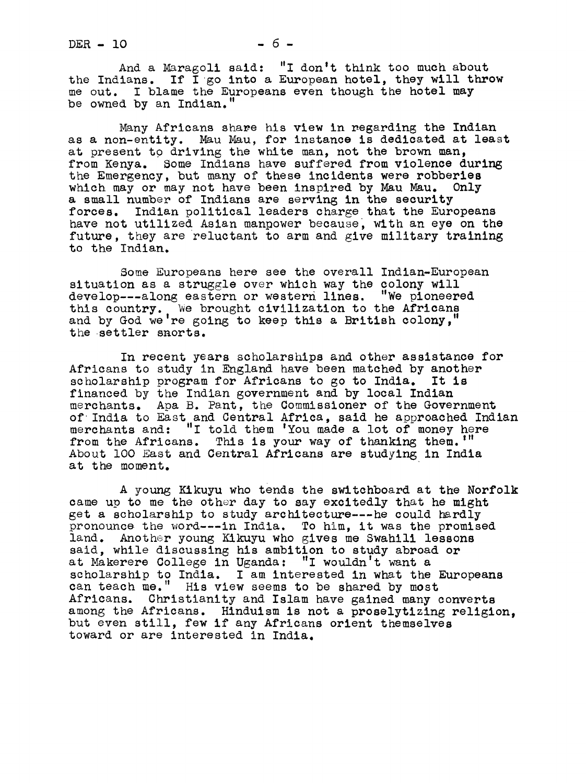And a Maragoli said: "I don't think too much about the Indians. If I go into a European hotel, they will throw me out. I blame the Europeans even though the hotel may be owned by an Indian."

Many Africans share his view in regarding the Indian as a non-entity. Mau Mau, for instance is dedicated at least at present to driving the white man, not the brown man, from Kenya. Some Indians have suffered from violence during the Emergency, but many of these incidents were robberies which may or may not have been inspired by Mau Mau. Only a small number of Indians are serving in the security forces. Indian political leaders charge that the Europeans have not utilized Asian manpower because, with an eye on the future, they are reluctant to arm and give military training to the Indian.

Some Europeans here see the overall Indian-European situation as a struggle over which way the colony will develop---along eastern or western lines. "We pioneered this country. We brought civilization to the Africans and by God we're going to keep this a British colony," the settler snorts.

In recent years scholarships and other assistance for Africans to study in England have been matched by another scholarship program for Africans to go to India. It is financed by the Indian government and by local Indian merchants. Apa B. Pant, the Commissioner of the Government of India to East and Central Africa, said he approached Indian merchants and: "I told them 'You made a lot of money here from the Africans. This is your way of thanking them. "" About 100 East and Central Africans are studying in India at the moment.

A young Kikuyu who tends the switchboard at the Norfolk came up to me the other day to say excitedly that he might get a scholarship to study architecture---he could hardly pronounce the word---in India. To him, it was the promised land. Another young Kikuyu who gives me Swahili lessons said, while discussing his ambition to study abroad or at Makerere College in Uganda: "I wouldn't want a scholarship to India. I am interested in what the Europeans can teach me." His view seems to be shared by most Africans. Christianity and Islam have gained many converts among the Africans. Hinduism is not a proselytizing religion, but even still, few if any Africans orient themselves toward or are interested in India.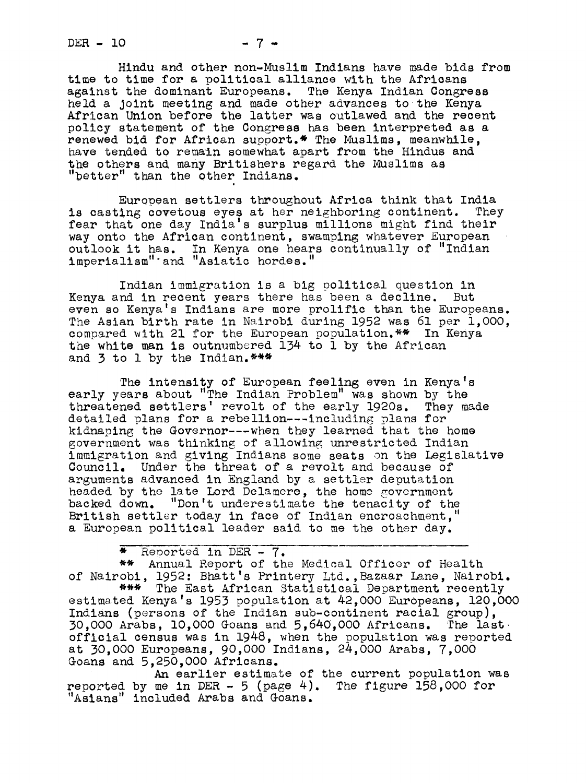$DER - 10$  - 7 -

Hindu and other non-Muslim Indians have made bids from time to time for a political alliance with the Africans against the dominant Europeans. The Kenya Indian Congress held a Joint meeting and made other advances tothe Kenya African Union before the latter was outlawed and the recent policy statement of the Congress has been interpreted as a renewed bid for African support.\* The Muslims, meanwhile, have tended to remain somewhat apart from the Hindus and the others and many Britishers regard the Muslims as "better" than the other Indians.

European settlers throughout Africa think that India is casting covetous eyes at her neighboring continent. They fear that one day India's surplus millions might find their way onto the African continent, swamping whatever European outlook it has. In Kenya one hears continually of "Indian imperialism''and "Asiatic hordes."

Indian immigration is a big political question in Kenya and in recent years there has been a decline. But even so Kenya's Indians are more prolific than the Europeans. The Asian birth rate in Nairobi during 1952 was 61 per 1,000, compared with 21 for the European population.\*\* In Kenya the white man is outnumbered 134 to 1 by the African and 3 to 1 by the Indian. \*\*\*

The intensity of European feeling even in Kenya's early years about "The Indian Problem" was shown by the threatened settlers' revolt of the early 1920s. They made detailed plans for a rebellion--including plans for kidnaping the Governor---when they learned that the home government was thinking of allowing unrestricted Indian immigration and giving Indians some seats on the Legislative Council. Under the threat of a revolt and because of arguments advanced in England by a settler deputation headed by the late Lord Delamere, the home government backed down. "Don't underestimate the tenacity of the British settler today in face of Indian encroachment," a European political leader said to me the other day.

\* Reported in DER- 7.

\*\* Annual Report of the Medical Officer of Health of Nairobi, 1952: Bhatt's Printery Ltd. , Bazaar Lane, Nairobi.

\*\*\* The East African Statistical Department recently estimated Kenya's 1953 population at 42,000 Europeans, 120,000 Indians (persons of the Indian sub-continent racial group), 30,000 Arabs, lO, 000 Goans and 5,640,000 Africans. The la st official census was in 1948, when the population was reported at 30,O00 Europeans, 90,000 Indians, 24,000 Arabs, 7,000 Goans and 5,250,000 Africans.

An earlier estimate of the current population was reported by me in DER -  $5$  (page 4). The figure 158,000 for "Asians" included Arabs and Goans.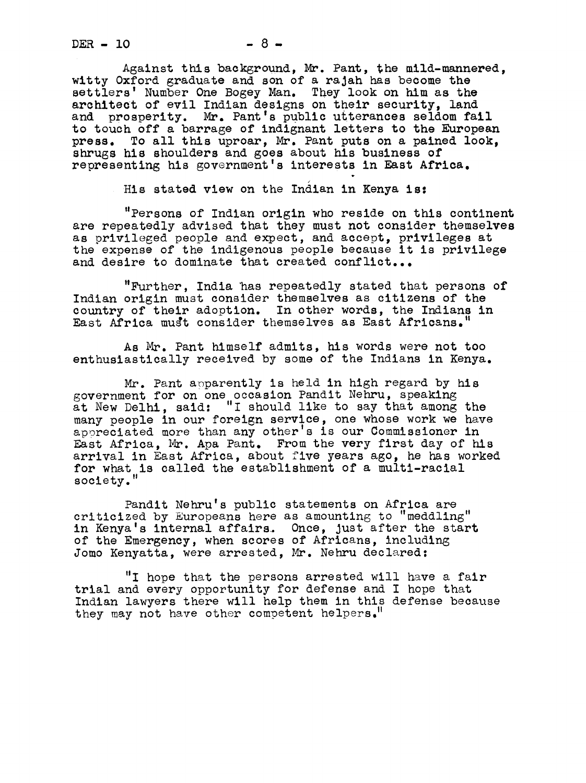Against this background, Mr. Pant, the mild-mannered, witty Oxford graduate and son of a rajah has become the settlers' Number One Bogey Man. They look on him as the architect of evil Indian designs on their security, land and prosperity. Mr. Pant's public utterances seldom fall to touch Off a barrage of indignant letters to the European press. To all this uproar, Mr. Pant puts on a pained look, shrugs his shoulders and goes about his business of representing his government's interests in East Africa.

His stated view on the Indian in Kenya is:

"Persons of Indian origin who reside on this continent are repeatedly advised that they must not consider themselves as privileged people and expect, and accept, privileges at the expense of the indigenous people because it is privilege and desire to dominate that created conflict...

"Further, India 'has repeatedly stated that persons of Indian origin must consider themselves as citizens of the country of their adoption. In other words, the Indians in East Africa must consider themselves as East Africans.

As Mr. Pant himself admits, his words were not too enthusiastically received by some of the Indians in Kenya.

Mr. Pant apparently is held in high regard by his government for on one occasion Pandit Nehru, speaking at New Delhi, said: "I should like to say that among the many oeople in our foreign service, one whose work we have appreciated more than any other's is our Commissioner in East Africa, Mr. Apa Pant. From the very first day of hls arrival in East Africa, about five years ago, he has worked for what is called the establishment of a multi-racial society."

Pandit Nehru's public statements on Africa are criticized by Europeans here as amounting to "meddling" in Kenya's internal affairs. Once, just after the start of the Emergency, when scores of Africans, including Jomo Kenyatta, were arrested, Mr. Nehru declared:

"I hope that the persons arrested will have a fair trial and every opportunity for defense and <sup>I</sup> hope that Indian lawyers there will help them in this defense because they may not have other competent helpers."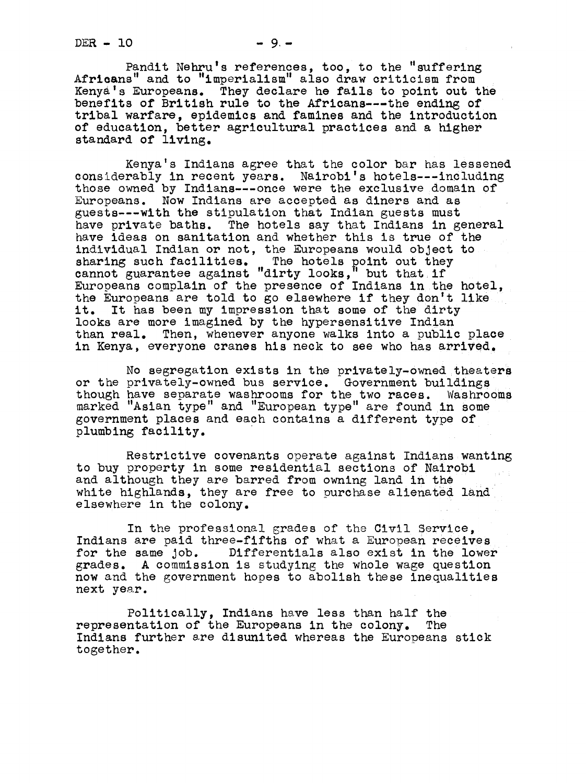$DER - 10 - 9. -$ 

Pandit Nehru's references, too, to the "suffering<br>Africans" and to "imperialism" also draw criticism from Kenya's Europeans. They declare he fails to point out the benefits of British rule to the Africans---the ending of tribal warfare, epidemics and famines and the introduction of education, better agricultural practices and a higher standard of living.

Kenya's Indians agree that the color bar has lessened considerably in recent years. Nairobi's hotels---including those owned by Indians---once were the exclusive domain of Europeans. Now Indians are accepted as diners and as guests---with the stipulation that Indian guests must have private baths. The hotels say that Indians in general have ideas on sanitation and whether this is true of the individual Indian or not, the Europeans would object to sharing such facilities. The hotels point out they cannot guarantee against "dirty looks," but that if Europeans complain of the presence of Indians inthe hotel, the Europeans are told to go elsewhere if they don't like.<br>it. It has been my impression that some of the dirty It has been my impression that some of the dirty looks are more imagined by the hypersensitive Indian than real. Then, whenever anyone walks into a public place in Kenya, everyone cranes his neck to see who has arrived.

No segregation exists in the prlvately-owned theaters or the privately-owned bus service. Government buildings though have separate washrooms for the two races, washrooms marked "Asian type" and "European type" are found in Some government places and each contains a different type plumbing facility.

Restrictive covenants operate against Indians wanting to buy property in some residential sections of Nairobi and although they are barred from owning land in the white highlands, they are free to purchase alienated land elsewhere in the colony.

In the professional grades of the Civil Service, Indians are paid three-fifths of what a European receives for the same Job. Differentials also exist in the lower grades. A commission is studying the whole wage question now and the government hopes to abolish these inequalities next year.

Politically, Indians have less than half the representation of the Europeans in the colony. Indians further sre disunited whereas the Eurooeans stick together.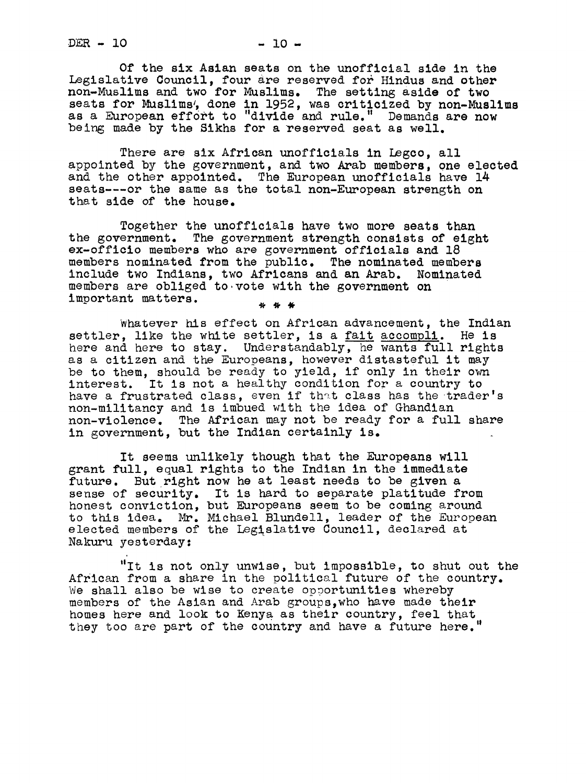$DER - 10 - 10 -$ 

Of the six Asian seats on the unofficial side in the Legislative Council, four are reserved for Hindus and other non-Muslims and two for Muslims. The setting aside of two seats for Muslims, done in 1952, was criticized by non-Muslims as a European effort to "divide and rule." Demands are now being made by the Sikhs for a reserved seat as well.

There are six African unofficials in Legco, all appointed by the government, and two Arab members, one elected and the other appointed. The European unofflcials have 14 seats---or the same as the total non-European strength on that side of the house.

Together the unofficlals have two more seats than the government. The government strength consists of eight ex-offlcio members who are government officials and 18 members nominated from the public. The nominated members include two Indians, two Africans and an Arab. Nominated members are obliged to.vote with the government on important matters.  $*$   $*$   $*$ 

Whatever his effect on African advancement, the Indian settler, like the white settler, is a fait accompli. He is here and here to stay. Understandably, he wants full rights as a citizen and the Europeans, however distasteful it may be to them, should be ready to yield, if only in their own interest. It is not a healthy condition for a country to have a frustrated class, even if that class has the trader's uon-militancy and is imbued with the idea of Ghandian non-violence. The African may not be ready for a full share in government, but the Indian certainly is.

It seems unlikely though that the Europeans will grant full, equal rights to the Indian in the immediate future. But right now he at least needs to be given a sense of security. It is hard to separate platitude from honest conviction, but Europeans seem to be coming around<br>to this idea. Mr. Michael Blundell, leader of the European elected members of the Legislative Council, declared at Nakuru yesterday:

"It is not only unwise, but impossible, to shut out the African from a share in the political future of the country. We shall also be wise to create opportunities whereby members of the Asian and Arab groups,who have made their homes here and look to Kenya as their country, feel that they too are part of the country and have a future here."